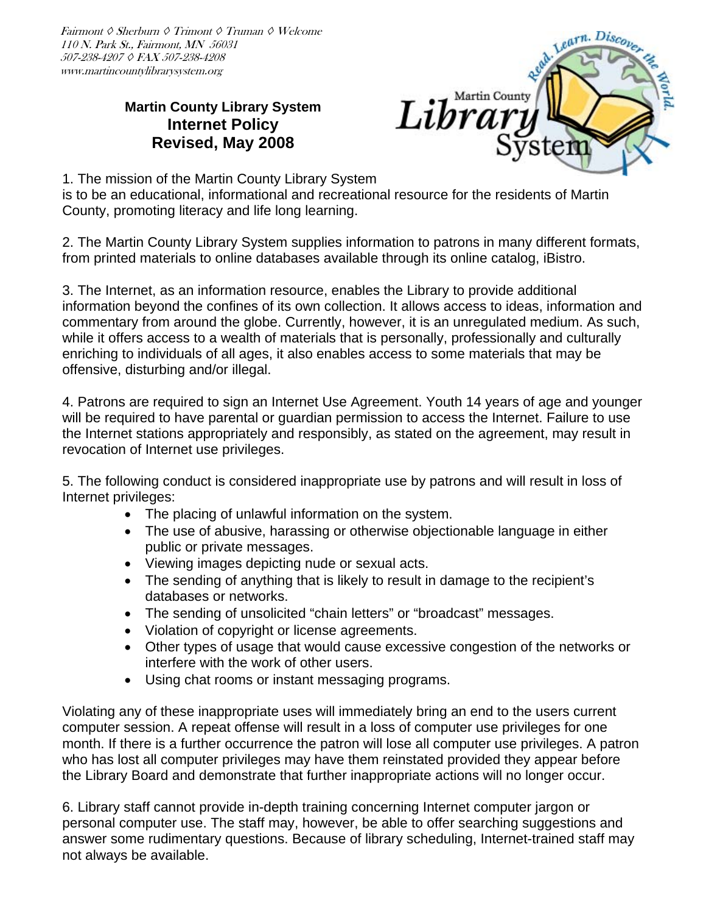Fairmont ◊ Sherburn ◊ Trimont ◊ Truman ◊ Welcome 110 N. Park St., Fairmont, MN 56031 507-238-4207 ◊ FAX 507-238-4208 www.martincountylibrarysystem.org

## **Martin County Library System Internet Policy Revised, May 2008**



1. The mission of the Martin County Library System

is to be an educational, informational and recreational resource for the residents of Martin County, promoting literacy and life long learning.

2. The Martin County Library System supplies information to patrons in many different formats, from printed materials to online databases available through its online catalog, iBistro.

3. The Internet, as an information resource, enables the Library to provide additional information beyond the confines of its own collection. It allows access to ideas, information and commentary from around the globe. Currently, however, it is an unregulated medium. As such, while it offers access to a wealth of materials that is personally, professionally and culturally enriching to individuals of all ages, it also enables access to some materials that may be offensive, disturbing and/or illegal.

4. Patrons are required to sign an Internet Use Agreement. Youth 14 years of age and younger will be required to have parental or guardian permission to access the Internet. Failure to use the Internet stations appropriately and responsibly, as stated on the agreement, may result in revocation of Internet use privileges.

5. The following conduct is considered inappropriate use by patrons and will result in loss of Internet privileges:

- The placing of unlawful information on the system.
- The use of abusive, harassing or otherwise objectionable language in either public or private messages.
- Viewing images depicting nude or sexual acts.
- The sending of anything that is likely to result in damage to the recipient's databases or networks.
- The sending of unsolicited "chain letters" or "broadcast" messages.
- Violation of copyright or license agreements.
- Other types of usage that would cause excessive congestion of the networks or interfere with the work of other users.
- Using chat rooms or instant messaging programs.

Violating any of these inappropriate uses will immediately bring an end to the users current computer session. A repeat offense will result in a loss of computer use privileges for one month. If there is a further occurrence the patron will lose all computer use privileges. A patron who has lost all computer privileges may have them reinstated provided they appear before the Library Board and demonstrate that further inappropriate actions will no longer occur.

6. Library staff cannot provide in-depth training concerning Internet computer jargon or personal computer use. The staff may, however, be able to offer searching suggestions and answer some rudimentary questions. Because of library scheduling, Internet-trained staff may not always be available.